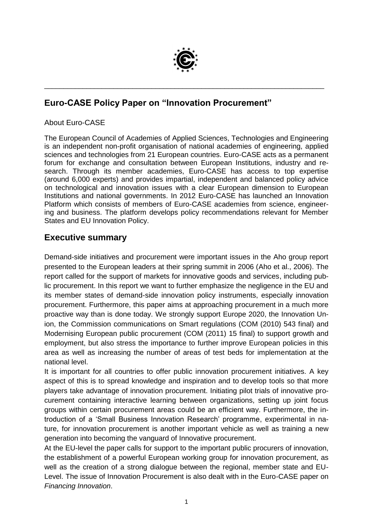

\_\_\_\_\_\_\_\_\_\_\_\_\_\_\_\_\_\_\_\_\_\_\_\_\_\_\_\_\_\_\_\_\_\_\_\_\_\_\_\_\_\_\_\_\_\_\_\_\_\_\_\_\_\_\_\_\_\_\_\_\_\_\_\_\_\_\_\_\_\_\_\_\_

# **Euro-CASE Policy Paper on "Innovation Procurement"**

#### About Euro-CASE

The European Council of Academies of Applied Sciences, Technologies and Engineering is an independent non-profit organisation of national academies of engineering, applied sciences and technologies from 21 European countries. Euro-CASE acts as a permanent forum for exchange and consultation between European Institutions, industry and research. Through its member academies, Euro-CASE has access to top expertise (around 6,000 experts) and provides impartial, independent and balanced policy advice on technological and innovation issues with a clear European dimension to European Institutions and national governments. In 2012 Euro-CASE has launched an Innovation Platform which consists of members of Euro-CASE academies from science, engineering and business. The platform develops policy recommendations relevant for Member States and EU Innovation Policy.

# **Executive summary**

Demand-side initiatives and procurement were important issues in the Aho group report presented to the European leaders at their spring summit in 2006 (Aho et al., 2006). The report called for the support of markets for innovative goods and services, including public procurement. In this report we want to further emphasize the negligence in the EU and its member states of demand-side innovation policy instruments, especially innovation procurement. Furthermore, this paper aims at approaching procurement in a much more proactive way than is done today. We strongly support Europe 2020, the Innovation Union, the Commission communications on Smart regulations (COM (2010) 543 final) and Modernising European public procurement (COM (2011) 15 final) to support growth and employment, but also stress the importance to further improve European policies in this area as well as increasing the number of areas of test beds for implementation at the national level.

It is important for all countries to offer public innovation procurement initiatives. A key aspect of this is to spread knowledge and inspiration and to develop tools so that more players take advantage of innovation procurement. Initiating pilot trials of innovative procurement containing interactive learning between organizations, setting up joint focus groups within certain procurement areas could be an efficient way. Furthermore, the introduction of a 'Small Business Innovation Research' programme, experimental in nature, for innovation procurement is another important vehicle as well as training a new generation into becoming the vanguard of Innovative procurement.

At the EU-level the paper calls for support to the important public procurers of innovation, the establishment of a powerful European working group for innovation procurement, as well as the creation of a strong dialogue between the regional, member state and EU-Level. The issue of Innovation Procurement is also dealt with in the Euro-CASE paper on *Financing Innovation*.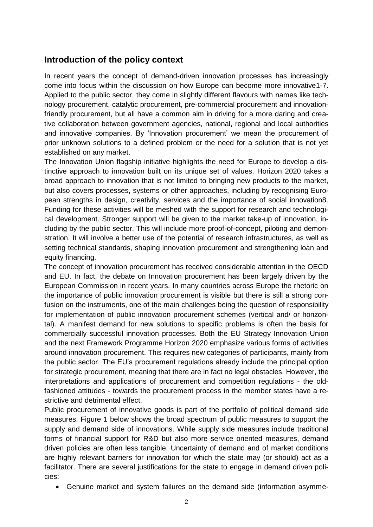### **Introduction of the policy context**

In recent years the concept of demand-driven innovation processes has increasingly come into focus within the discussion on how Europe can become more innovative1-7. Applied to the public sector, they come in slightly different flavours with names like technology procurement, catalytic procurement, pre-commercial procurement and innovationfriendly procurement, but all have a common aim in driving for a more daring and creative collaboration between government agencies, national, regional and local authorities and innovative companies. By 'Innovation procurement' we mean the procurement of prior unknown solutions to a defined problem or the need for a solution that is not yet established on any market.

The Innovation Union flagship initiative highlights the need for Europe to develop a distinctive approach to innovation built on its unique set of values. Horizon 2020 takes a broad approach to innovation that is not limited to bringing new products to the market, but also covers processes, systems or other approaches, including by recognising European strengths in design, creativity, services and the importance of social innovation8. Funding for these activities will be meshed with the support for research and technological development. Stronger support will be given to the market take-up of innovation, including by the public sector. This will include more proof-of-concept, piloting and demonstration. It will involve a better use of the potential of research infrastructures, as well as setting technical standards, shaping innovation procurement and strengthening loan and equity financing.

The concept of innovation procurement has received considerable attention in the OECD and EU. In fact, the debate on Innovation procurement has been largely driven by the European Commission in recent years. In many countries across Europe the rhetoric on the importance of public innovation procurement is visible but there is still a strong confusion on the instruments, one of the main challenges being the question of responsibility for implementation of public innovation procurement schemes (vertical and/ or horizontal). A manifest demand for new solutions to specific problems is often the basis for commercially successful innovation processes. Both the EU Strategy Innovation Union and the next Framework Programme Horizon 2020 emphasize various forms of activities around innovation procurement. This requires new categories of participants, mainly from the public sector. The EU's procurement regulations already include the principal option for strategic procurement, meaning that there are in fact no legal obstacles. However, the interpretations and applications of procurement and competition regulations - the oldfashioned attitudes - towards the procurement process in the member states have a restrictive and detrimental effect.

Public procurement of innovative goods is part of the portfolio of political demand side measures. Figure 1 below shows the broad spectrum of public measures to support the supply and demand side of innovations. While supply side measures include traditional forms of financial support for R&D but also more service oriented measures, demand driven policies are often less tangible. Uncertainty of demand and of market conditions are highly relevant barriers for innovation for which the state may (or should) act as a facilitator. There are several justifications for the state to engage in demand driven policies:

Genuine market and system failures on the demand side (information asymme-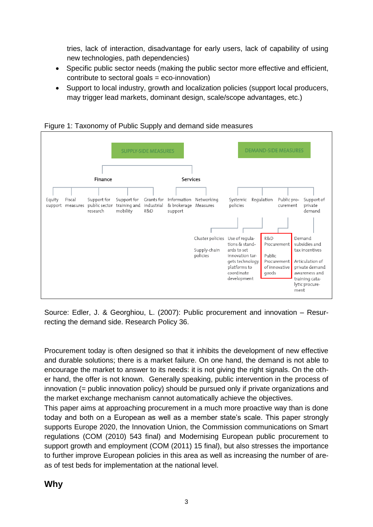tries, lack of interaction, disadvantage for early users, lack of capability of using new technologies, path dependencies)

- Specific public sector needs (making the public sector more effective and efficient, contribute to sectoral goals = eco-innovation)
- Support to local industry, growth and localization policies (support local producers, may trigger lead markets, dominant design, scale/scope advantages, etc.)



Figure 1: Taxonomy of Public Supply and demand side measures

Source: Edler, J. & Georghiou, L. (2007): Public procurement and innovation – Resurrecting the demand side. Research Policy 36.

Procurement today is often designed so that it inhibits the development of new effective and durable solutions; there is a market failure. On one hand, the demand is not able to encourage the market to answer to its needs: it is not giving the right signals. On the other hand, the offer is not known. Generally speaking, public intervention in the process of innovation (= public innovation policy) should be pursued only if private organizations and the market exchange mechanism cannot automatically achieve the objectives.

This paper aims at approaching procurement in a much more proactive way than is done today and both on a European as well as a member state's scale. This paper strongly supports Europe 2020, the Innovation Union, the Commission communications on Smart regulations (COM (2010) 543 final) and Modernising European public procurement to support growth and employment (COM (2011) 15 final), but also stresses the importance to further improve European policies in this area as well as increasing the number of areas of test beds for implementation at the national level.

# **Why**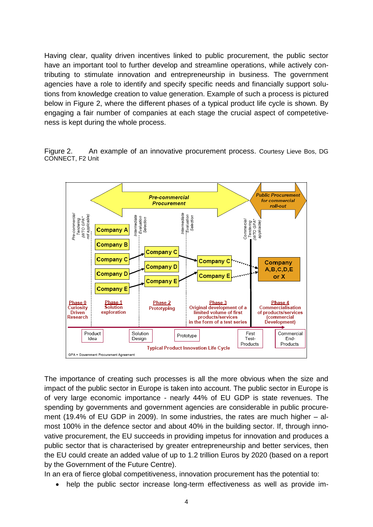Having clear, quality driven incentives linked to public procurement, the public sector have an important tool to further develop and streamline operations, while actively contributing to stimulate innovation and entrepreneurship in business. The government agencies have a role to identify and specify specific needs and financially support solutions from knowledge creation to value generation. Example of such a process is pictured below in Figure 2, where the different phases of a typical product life cycle is shown. By engaging a fair number of companies at each stage the crucial aspect of competetiveness is kept during the whole process.

Figure 2. An example of an innovative procurement process. Courtesy Lieve Bos, DG CONNECT, F2 Unit



The importance of creating such processes is all the more obvious when the size and impact of the public sector in Europe is taken into account. The public sector in Europe is of very large economic importance - nearly 44% of EU GDP is state revenues. The spending by governments and government agencies are considerable in public procurement (19.4% of EU GDP in 2009). In some industries, the rates are much higher – almost 100% in the defence sector and about 40% in the building sector. If, through innovative procurement, the EU succeeds in providing impetus for innovation and produces a public sector that is characterised by greater entrepreneurship and better services, then the EU could create an added value of up to 1.2 trillion Euros by 2020 (based on a report by the Government of the Future Centre).

In an era of fierce global competitiveness, innovation procurement has the potential to:

help the public sector increase long-term effectiveness as well as provide im-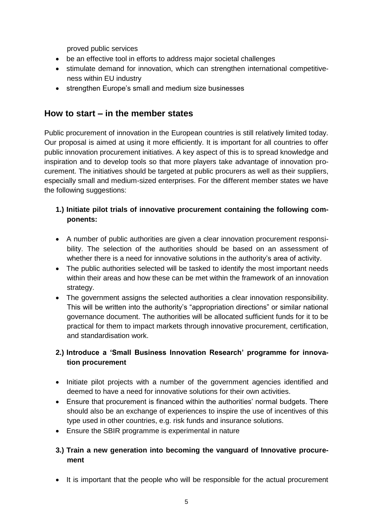proved public services

- be an effective tool in efforts to address major societal challenges
- stimulate demand for innovation, which can strengthen international competitiveness within EU industry
- strengthen Europe's small and medium size businesses

### **How to start – in the member states**

Public procurement of innovation in the European countries is still relatively limited today. Our proposal is aimed at using it more efficiently. It is important for all countries to offer public innovation procurement initiatives. A key aspect of this is to spread knowledge and inspiration and to develop tools so that more players take advantage of innovation procurement. The initiatives should be targeted at public procurers as well as their suppliers, especially small and medium-sized enterprises. For the different member states we have the following suggestions:

### **1.) Initiate pilot trials of innovative procurement containing the following components:**

- A number of public authorities are given a clear innovation procurement responsibility. The selection of the authorities should be based on an assessment of whether there is a need for innovative solutions in the authority's area of activity.
- The public authorities selected will be tasked to identify the most important needs within their areas and how these can be met within the framework of an innovation strategy.
- The government assigns the selected authorities a clear innovation responsibility. This will be written into the authority's "appropriation directions" or similar national governance document. The authorities will be allocated sufficient funds for it to be practical for them to impact markets through innovative procurement, certification, and standardisation work.

### **2.) Introduce a 'Small Business Innovation Research' programme for innovation procurement**

- Initiate pilot projects with a number of the government agencies identified and deemed to have a need for innovative solutions for their own activities.
- Ensure that procurement is financed within the authorities' normal budgets. There should also be an exchange of experiences to inspire the use of incentives of this type used in other countries, e.g. risk funds and insurance solutions.
- Ensure the SBIR programme is experimental in nature

### **3.) Train a new generation into becoming the vanguard of Innovative procurement**

• It is important that the people who will be responsible for the actual procurement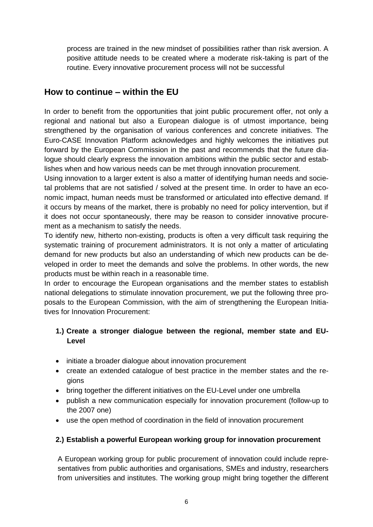process are trained in the new mindset of possibilities rather than risk aversion. A positive attitude needs to be created where a moderate risk-taking is part of the routine. Every innovative procurement process will not be successful

# **How to continue – within the EU**

In order to benefit from the opportunities that joint public procurement offer, not only a regional and national but also a European dialogue is of utmost importance, being strengthened by the organisation of various conferences and concrete initiatives. The Euro-CASE Innovation Platform acknowledges and highly welcomes the initiatives put forward by the European Commission in the past and recommends that the future dialogue should clearly express the innovation ambitions within the public sector and establishes when and how various needs can be met through innovation procurement.

Using innovation to a larger extent is also a matter of identifying human needs and societal problems that are not satisfied / solved at the present time. In order to have an economic impact, human needs must be transformed or articulated into effective demand. If it occurs by means of the market, there is probably no need for policy intervention, but if it does not occur spontaneously, there may be reason to consider innovative procurement as a mechanism to satisfy the needs.

To identify new, hitherto non-existing, products is often a very difficult task requiring the systematic training of procurement administrators. It is not only a matter of articulating demand for new products but also an understanding of which new products can be developed in order to meet the demands and solve the problems. In other words, the new products must be within reach in a reasonable time.

In order to encourage the European organisations and the member states to establish national delegations to stimulate innovation procurement, we put the following three proposals to the European Commission, with the aim of strengthening the European Initiatives for Innovation Procurement:

### **1.) Create a stronger dialogue between the regional, member state and EU-Level**

- initiate a broader dialogue about innovation procurement
- create an extended catalogue of best practice in the member states and the regions
- bring together the different initiatives on the EU-Level under one umbrella
- publish a new communication especially for innovation procurement (follow-up to the 2007 one)
- use the open method of coordination in the field of innovation procurement

### **2.) Establish a powerful European working group for innovation procurement**

A European working group for public procurement of innovation could include representatives from public authorities and organisations, SMEs and industry, researchers from universities and institutes. The working group might bring together the different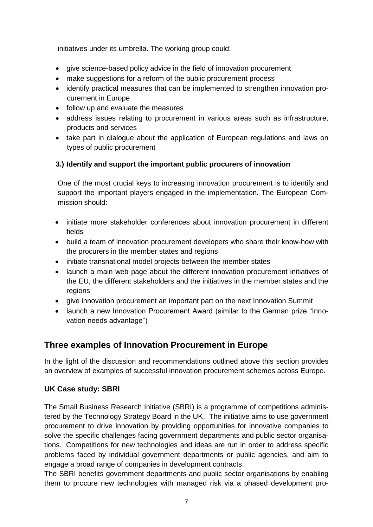initiatives under its umbrella. The working group could:

- give science-based policy advice in the field of innovation procurement
- make suggestions for a reform of the public procurement process
- identify practical measures that can be implemented to strengthen innovation procurement in Europe
- follow up and evaluate the measures
- address issues relating to procurement in various areas such as infrastructure, products and services
- take part in dialogue about the application of European regulations and laws on types of public procurement

### **3.) Identify and support the important public procurers of innovation**

One of the most crucial keys to increasing innovation procurement is to identify and support the important players engaged in the implementation. The European Commission should:

- initiate more stakeholder conferences about innovation procurement in different fields
- build a team of innovation procurement developers who share their know-how with the procurers in the member states and regions
- initiate transnational model projects between the member states
- launch a main web page about the different innovation procurement initiatives of the EU, the different stakeholders and the initiatives in the member states and the regions
- give innovation procurement an important part on the next Innovation Summit
- launch a new Innovation Procurement Award (similar to the German prize "Innovation needs advantage")

# **Three examples of Innovation Procurement in Europe**

In the light of the discussion and recommendations outlined above this section provides an overview of examples of successful innovation procurement schemes across Europe.

### **UK Case study: SBRI**

The Small Business Research Initiative (SBRI) is a programme of competitions administered by the Technology Strategy Board in the UK. The initiative aims to use government procurement to drive innovation by providing opportunities for innovative companies to solve the specific challenges facing government departments and public sector organisations. Competitions for new technologies and ideas are run in order to address specific problems faced by individual government departments or public agencies, and aim to engage a broad range of companies in development contracts.

The SBRI benefits government departments and public sector organisations by enabling them to procure new technologies with managed risk via a phased development pro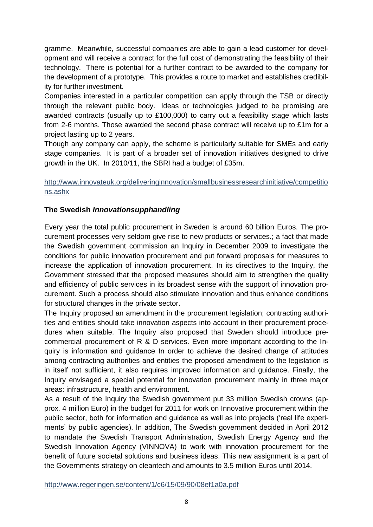gramme. Meanwhile, successful companies are able to gain a lead customer for development and will receive a contract for the full cost of demonstrating the feasibility of their technology. There is potential for a further contract to be awarded to the company for the development of a prototype. This provides a route to market and establishes credibility for further investment.

Companies interested in a particular competition can apply through the TSB or directly through the relevant public body. Ideas or technologies judged to be promising are awarded contracts (usually up to £100,000) to carry out a feasibility stage which lasts from 2-6 months. Those awarded the second phase contract will receive up to £1m for a project lasting up to 2 years.

Though any company can apply, the scheme is particularly suitable for SMEs and early stage companies. It is part of a broader set of innovation initiatives designed to drive growth in the UK. In 2010/11, the SBRI had a budget of £35m.

### [http://www.innovateuk.org/deliveringinnovation/smallbusinessresearchinitiative/competitio](http://www.innovateuk.org/deliveringinnovation/smallbusinessresearchinitiative/competitions.ashx) [ns.ashx](http://www.innovateuk.org/deliveringinnovation/smallbusinessresearchinitiative/competitions.ashx)

### **The Swedish** *Innovationsupphandling*

Every year the total public procurement in Sweden is around 60 billion Euros. The procurement processes very seldom give rise to new products or services.; a fact that made the Swedish government commission an Inquiry in December 2009 to investigate the conditions for public innovation procurement and put forward proposals for measures to increase the application of innovation procurement. In its directives to the Inquiry, the Government stressed that the proposed measures should aim to strengthen the quality and efficiency of public services in its broadest sense with the support of innovation procurement. Such a process should also stimulate innovation and thus enhance conditions for structural changes in the private sector.

The Inquiry proposed an amendment in the procurement legislation; contracting authorities and entities should take innovation aspects into account in their procurement procedures when suitable. The Inquiry also proposed that Sweden should introduce precommercial procurement of R & D services. Even more important according to the Inquiry is information and guidance In order to achieve the desired change of attitudes among contracting authorities and entities the proposed amendment to the legislation is in itself not sufficient, it also requires improved information and guidance. Finally, the Inquiry envisaged a special potential for innovation procurement mainly in three major areas: infrastructure, health and environment.

As a result of the Inquiry the Swedish government put 33 million Swedish crowns (approx. 4 million Euro) in the budget for 2011 for work on Innovative procurement within the public sector, both for information and guidance as well as into projects ('real life experiments' by public agencies). In addition, The Swedish government decided in April 2012 to mandate the Swedish Transport Administration, Swedish Energy Agency and the Swedish Innovation Agency (VINNOVA) to work with innovation procurement for the benefit of future societal solutions and business ideas. This new assignment is a part of the Governments strategy on cleantech and amounts to 3.5 million Euros until 2014.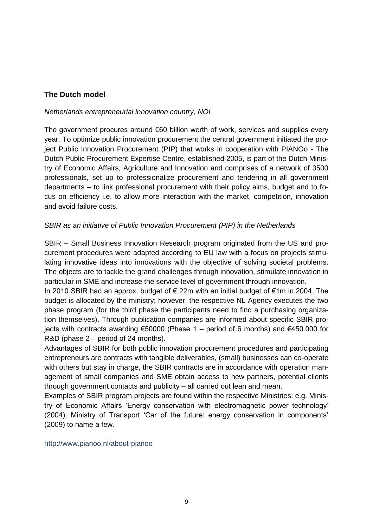### **The Dutch model**

#### *Netherlands entrepreneurial innovation country, NOI*

The government procures around €60 billion worth of work, services and supplies every year. To optimize public innovation procurement the central government initiated the project Public Innovation Procurement (PIP) that works in cooperation with PIANOo - The Dutch Public Procurement Expertise Centre, established 2005, is part of the Dutch Ministry of Economic Affairs, Agriculture and Innovation and comprises of a network of 3500 professionals, set up to professionalize procurement and tendering in all government departments – to link professional procurement with their policy aims, budget and to focus on efficiency i.e. to allow more interaction with the market, competition, innovation and avoid failure costs.

#### *SBIR as an initiative of Public Innovation Procurement (PIP) in the Netherlands*

SBIR – Small Business Innovation Research program originated from the US and procurement procedures were adapted according to EU law with a focus on projects stimulating innovative ideas into innovations with the objective of solving societal problems. The objects are to tackle the grand challenges through innovation, stimulate innovation in particular in SME and increase the service level of government through innovation.

In 2010 SBIR had an approx. budget of € 22m with an initial budget of €1m in 2004. The budget is allocated by the ministry; however, the respective NL Agency executes the two phase program (for the third phase the participants need to find a purchasing organization themselves). Through publication companies are informed about specific SBIR projects with contracts awarding €50000 (Phase 1 – period of 6 months) and €450.000 for R&D (phase 2 – period of 24 months).

Advantages of SBIR for both public innovation procurement procedures and participating entrepreneurs are contracts with tangible deliverables, (small) businesses can co-operate with others but stay in charge, the SBIR contracts are in accordance with operation management of small companies and SME obtain access to new partners, potential clients through government contacts and publicity – all carried out lean and mean.

Examples of SBIR program projects are found within the respective Ministries: e.g. Ministry of Economic Affairs 'Energy conservation with electromagnetic power technology' (2004); Ministry of Transport 'Car of the future: energy conservation in components' (2009) to name a few.

<http://www.pianoo.nl/about-pianoo>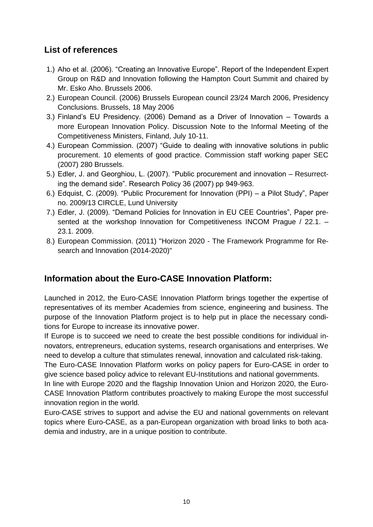# **List of references**

- 1.) Aho et al. (2006). "Creating an Innovative Europe". Report of the Independent Expert Group on R&D and Innovation following the Hampton Court Summit and chaired by Mr. Esko Aho. Brussels 2006.
- 2.) European Council. (2006) Brussels European council 23/24 March 2006, Presidency Conclusions. Brussels, 18 May 2006
- 3.) Finland's EU Presidency. (2006) Demand as a Driver of Innovation Towards a more European Innovation Policy. Discussion Note to the Informal Meeting of the Competitiveness Ministers, Finland, July 10-11.
- 4.) European Commission. (2007) "Guide to dealing with innovative solutions in public procurement. 10 elements of good practice. Commission staff working paper SEC (2007) 280 Brussels.
- 5.) Edler, J. and Georghiou, L. (2007). "Public procurement and innovation Resurrecting the demand side". Research Policy 36 (2007) pp 949-963.
- 6.) Edquist, C. (2009). "Public Procurement for Innovation (PPI) a Pilot Study", Paper no. 2009/13 CIRCLE, Lund University
- 7.) Edler, J. (2009). "Demand Policies for Innovation in EU CEE Countries", Paper presented at the workshop Innovation for Competitiveness INCOM Prague / 22.1. -23.1. 2009.
- 8.) European Commission. (2011) "Horizon 2020 The Framework Programme for Research and Innovation (2014-2020)"

# **Information about the Euro-CASE Innovation Platform:**

Launched in 2012, the Euro-CASE Innovation Platform brings together the expertise of representatives of its member Academies from science, engineering and business. The purpose of the Innovation Platform project is to help put in place the necessary conditions for Europe to increase its innovative power.

If Europe is to succeed we need to create the best possible conditions for individual innovators, entrepreneurs, education systems, research organisations and enterprises. We need to develop a culture that stimulates renewal, innovation and calculated risk-taking.

The Euro-CASE Innovation Platform works on policy papers for Euro-CASE in order to give science based policy advice to relevant EU-Institutions and national governments.

In line with Europe 2020 and the flagship Innovation Union and Horizon 2020, the Euro-CASE Innovation Platform contributes proactively to making Europe the most successful innovation region in the world.

Euro-CASE strives to support and advise the EU and national governments on relevant topics where Euro-CASE, as a pan-European organization with broad links to both academia and industry, are in a unique position to contribute.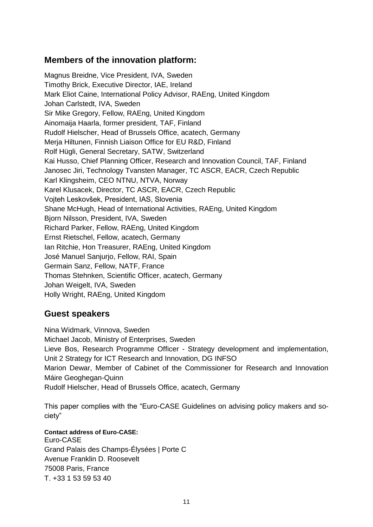# **Members of the innovation platform:**

Magnus Breidne, Vice President, IVA, Sweden Timothy Brick, Executive Director, IAE, Ireland Mark Eliot Caine, International Policy Advisor, RAEng, United Kingdom Johan Carlstedt, IVA, Sweden Sir Mike Gregory, Fellow, RAEng, United Kingdom Ainomaija Haarla, former president, TAF, Finland Rudolf Hielscher, Head of Brussels Office, acatech, Germany Merja Hiltunen, Finnish Liaison Office for EU R&D, Finland Rolf Hügli, General Secretary, SATW, Switzerland Kai Husso, Chief Planning Officer, Research and Innovation Council, TAF, Finland Janosec Jiri, Technology Tvansten Manager, TC ASCR, EACR, Czech Republic Karl Klingsheim, CEO NTNU, NTVA, Norway Karel Klusacek, Director, TC ASCR, EACR, Czech Republic Vojteh Leskovšek, President, IAS, Slovenia Shane McHugh, Head of International Activities, RAEng, United Kingdom Bjorn Nilsson, President, IVA, Sweden Richard Parker, Fellow, RAEng, United Kingdom Ernst Rietschel, Fellow, acatech, Germany Ian Ritchie, Hon Treasurer, RAEng, United Kingdom José Manuel Sanjurjo, Fellow, RAI, Spain Germain Sanz, Fellow, NATF, France Thomas Stehnken, Scientific Officer, acatech, Germany Johan Weigelt, IVA, Sweden Holly Wright, RAEng, United Kingdom

### **Guest speakers**

Nina Widmark, Vinnova, Sweden Michael Jacob, Ministry of Enterprises, Sweden Lieve Bos, Research Programme Officer - Strategy development and implementation, Unit 2 Strategy for ICT Research and Innovation, DG INFSO Marion Dewar, Member of Cabinet of the Commissioner for Research and Innovation Máire Geoghegan-Quinn Rudolf Hielscher, Head of Brussels Office, acatech, Germany

This paper complies with the "Euro-CASE Guidelines on advising policy makers and society"

**Contact address of Euro**‐**CASE:** Euro-CASE Grand Palais des Champs-Élysées | Porte C Avenue Franklin D. Roosevelt 75008 Paris, France T. +33 1 53 59 53 40